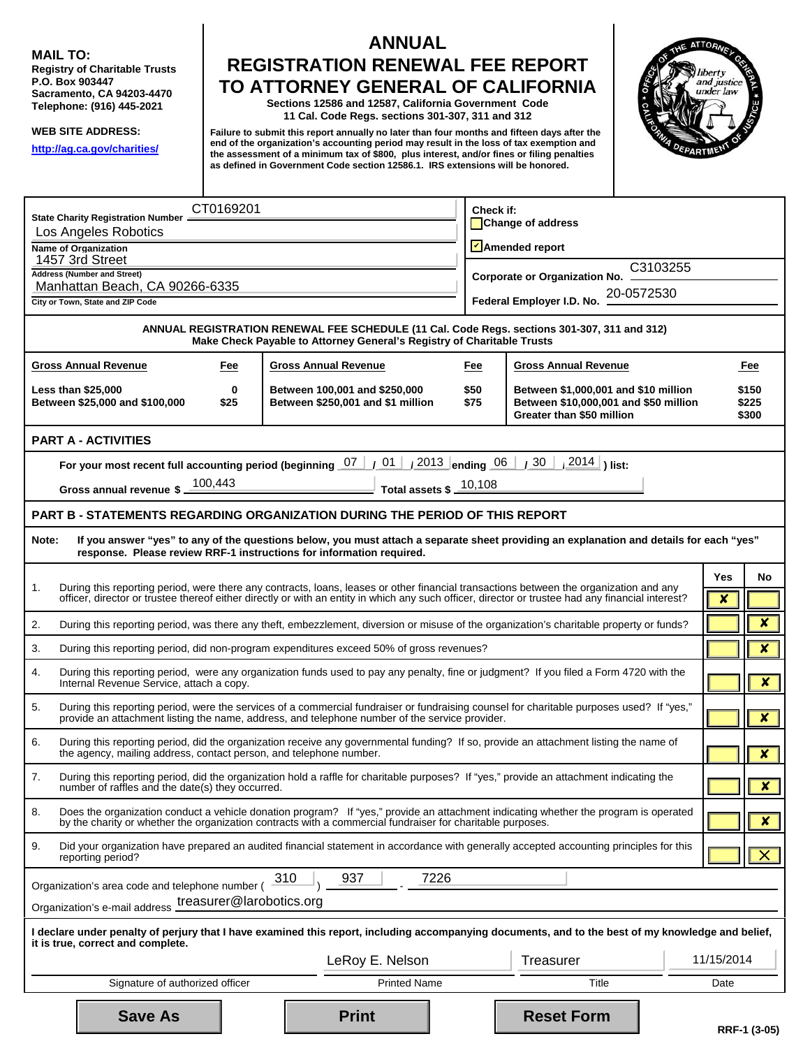**MAIL TO:** 

**MAIL TO:**<br>Registry of Charitable Trusts<br>P.O. Box 903447 **Sacramento, CA 94203-4470 Telephone: (916) 445-2021** 

**WEB SITE ADDRESS: http://ag.ca.gov/charities/** 

# **ANNUAL** TO ATTORNEY GENERAL OF CALIFORNIA **ANNUAL<br>REGISTRATION RENEWAL FEE REPORT<br>TO ATTORNEY GENERAL OF CALIFORNIA**<br>Sections 12586 and 12587, California Government Code

**11 Cal. Code Regs. sections 301-307, 311 and 312** 

**Failure to submit this report annually no later than four months and fifteen days after the end of the organization's accounting period may result in the loss of tax exemption and the assessment of a minimum tax of \$800, plus interest, and/or fines or filing penalties as defined in Government Code section 12586.1. IRS extensions will be honored.** 



|                                                                                 | State Charity Registration Number =                                                                                                                                   | CT0169201 |                                                                                                                                                                                                                                                                                             | Check if:                                        |                                                                                                            |            |      |                         |  |  |  |
|---------------------------------------------------------------------------------|-----------------------------------------------------------------------------------------------------------------------------------------------------------------------|-----------|---------------------------------------------------------------------------------------------------------------------------------------------------------------------------------------------------------------------------------------------------------------------------------------------|--------------------------------------------------|------------------------------------------------------------------------------------------------------------|------------|------|-------------------------|--|--|--|
|                                                                                 | Los Angeles Robotics                                                                                                                                                  |           |                                                                                                                                                                                                                                                                                             | Change of address                                |                                                                                                            |            |      |                         |  |  |  |
|                                                                                 | Name of Organization<br>1457 3rd Street                                                                                                                               |           |                                                                                                                                                                                                                                                                                             | Amended report                                   |                                                                                                            |            |      |                         |  |  |  |
|                                                                                 | <b>Address (Number and Street)</b>                                                                                                                                    |           |                                                                                                                                                                                                                                                                                             | C3103255<br><b>Corporate or Organization No.</b> |                                                                                                            |            |      |                         |  |  |  |
|                                                                                 | Manhattan Beach, CA 90266-6335<br>City or Town, State and ZIP Code                                                                                                    |           |                                                                                                                                                                                                                                                                                             |                                                  | Federal Employer I.D. No. 2                                                                                | 20-0572530 |      |                         |  |  |  |
|                                                                                 |                                                                                                                                                                       |           |                                                                                                                                                                                                                                                                                             |                                                  |                                                                                                            |            |      |                         |  |  |  |
|                                                                                 | ANNUAL REGISTRATION RENEWAL FEE SCHEDULE (11 Cal. Code Regs. sections 301-307, 311 and 312)<br>Make Check Payable to Attorney General's Registry of Charitable Trusts |           |                                                                                                                                                                                                                                                                                             |                                                  |                                                                                                            |            |      |                         |  |  |  |
|                                                                                 | <b>Gross Annual Revenue</b>                                                                                                                                           | Fee       | <b>Gross Annual Revenue</b>                                                                                                                                                                                                                                                                 | Fee                                              | <b>Gross Annual Revenue</b>                                                                                |            |      | Fee                     |  |  |  |
|                                                                                 | <b>Less than \$25,000</b><br>Between \$25,000 and \$100,000                                                                                                           | 0<br>\$25 | Between 100,001 and \$250,000<br>Between \$250,001 and \$1 million                                                                                                                                                                                                                          | \$50<br>\$75                                     | Between \$1,000,001 and \$10 million<br>Between \$10,000,001 and \$50 million<br>Greater than \$50 million |            |      | \$150<br>\$225<br>\$300 |  |  |  |
|                                                                                 | <b>PART A - ACTIVITIES</b>                                                                                                                                            |           |                                                                                                                                                                                                                                                                                             |                                                  |                                                                                                            |            |      |                         |  |  |  |
|                                                                                 | For your most recent full accounting period (beginning 07 /                                                                                                           |           | 01 / 2013 ending 06 / 30                                                                                                                                                                                                                                                                    |                                                  | $\left  \frac{2014}{2014} \right $ ) list:                                                                 |            |      |                         |  |  |  |
|                                                                                 | Gross annual revenue \$ 100,443                                                                                                                                       |           | Total assets $\frac{10,108}{2}$                                                                                                                                                                                                                                                             |                                                  |                                                                                                            |            |      |                         |  |  |  |
|                                                                                 |                                                                                                                                                                       |           | <b>PART B - STATEMENTS REGARDING ORGANIZATION DURING THE PERIOD OF THIS REPORT</b>                                                                                                                                                                                                          |                                                  |                                                                                                            |            |      |                         |  |  |  |
|                                                                                 |                                                                                                                                                                       |           |                                                                                                                                                                                                                                                                                             |                                                  |                                                                                                            |            |      |                         |  |  |  |
| Note:                                                                           |                                                                                                                                                                       |           | If you answer "yes" to any of the questions below, you must attach a separate sheet providing an explanation and details for each "yes"<br>response. Please review RRF-1 instructions for information required.                                                                             |                                                  |                                                                                                            |            |      |                         |  |  |  |
| 1.                                                                              |                                                                                                                                                                       |           |                                                                                                                                                                                                                                                                                             |                                                  |                                                                                                            |            | Yes  | No                      |  |  |  |
|                                                                                 |                                                                                                                                                                       |           | During this reporting period, were there any contracts, loans, leases or other financial transactions between the organization and any<br>officer, director or trustee thereof either directly or with an entity in which any such officer, director or trustee had any financial interest? |                                                  |                                                                                                            |            | ×    |                         |  |  |  |
| 2.                                                                              |                                                                                                                                                                       |           | During this reporting period, was there any theft, embezzlement, diversion or misuse of the organization's charitable property or funds?                                                                                                                                                    |                                                  |                                                                                                            |            |      | $\overline{\mathbf{x}}$ |  |  |  |
| 3.                                                                              |                                                                                                                                                                       |           | During this reporting period, did non-program expenditures exceed 50% of gross revenues?                                                                                                                                                                                                    |                                                  |                                                                                                            |            |      | $\overline{\mathbf{x}}$ |  |  |  |
| 4.                                                                              | Internal Revenue Service, attach a copy.                                                                                                                              |           | During this reporting period, were any organization funds used to pay any penalty, fine or judgment? If you filed a Form 4720 with the                                                                                                                                                      |                                                  |                                                                                                            |            |      | $\boldsymbol{x}$        |  |  |  |
| 5.                                                                              |                                                                                                                                                                       |           | During this reporting period, were the services of a commercial fundraiser or fundraising counsel for charitable purposes used? If "yes,"<br>provide an attachment listing the name, address, and telephone number of the service provider.                                                 |                                                  |                                                                                                            |            |      | $\overline{\mathbf{x}}$ |  |  |  |
| 6.                                                                              | the agency, mailing address, contact person, and telephone number.                                                                                                    |           | During this reporting period, did the organization receive any governmental funding? If so, provide an attachment listing the name of                                                                                                                                                       |                                                  |                                                                                                            |            |      | $\boldsymbol{x}$        |  |  |  |
| 7.                                                                              | number of raffles and the date(s) they occurred.                                                                                                                      |           | During this reporting period, did the organization hold a raffle for charitable purposes? If "yes," provide an attachment indicating the                                                                                                                                                    |                                                  |                                                                                                            |            |      | ×                       |  |  |  |
| 8.                                                                              |                                                                                                                                                                       |           | Does the organization conduct a vehicle donation program? If "yes," provide an attachment indicating whether the program is operated                                                                                                                                                        |                                                  |                                                                                                            |            |      |                         |  |  |  |
|                                                                                 |                                                                                                                                                                       |           | by the charity or whether the organization contracts with a commercial fundraiser for charitable purposes.                                                                                                                                                                                  |                                                  |                                                                                                            |            |      | $\boldsymbol{x}$        |  |  |  |
| 9.                                                                              | reporting period?                                                                                                                                                     |           | Did your organization have prepared an audited financial statement in accordance with generally accepted accounting principles for this                                                                                                                                                     |                                                  |                                                                                                            |            |      |                         |  |  |  |
|                                                                                 | Organization's area code and telephone number (                                                                                                                       |           | 7226<br>937<br>310                                                                                                                                                                                                                                                                          |                                                  |                                                                                                            |            |      |                         |  |  |  |
|                                                                                 | Organization's e-mail address treasurer@larobotics.org                                                                                                                |           |                                                                                                                                                                                                                                                                                             |                                                  |                                                                                                            |            |      |                         |  |  |  |
|                                                                                 |                                                                                                                                                                       |           | I declare under penalty of perjury that I have examined this report, including accompanying documents, and to the best of my knowledge and belief,                                                                                                                                          |                                                  |                                                                                                            |            |      |                         |  |  |  |
| it is true, correct and complete.<br>11/15/2014<br>LeRoy E. Nelson<br>Treasurer |                                                                                                                                                                       |           |                                                                                                                                                                                                                                                                                             |                                                  |                                                                                                            |            |      |                         |  |  |  |
|                                                                                 | Signature of authorized officer                                                                                                                                       |           | <b>Printed Name</b>                                                                                                                                                                                                                                                                         |                                                  | Title                                                                                                      |            | Date |                         |  |  |  |
|                                                                                 | <b>Save As</b>                                                                                                                                                        |           | <b>Print</b>                                                                                                                                                                                                                                                                                |                                                  | <b>Reset Form</b>                                                                                          |            |      | RRF-1 (3-05)            |  |  |  |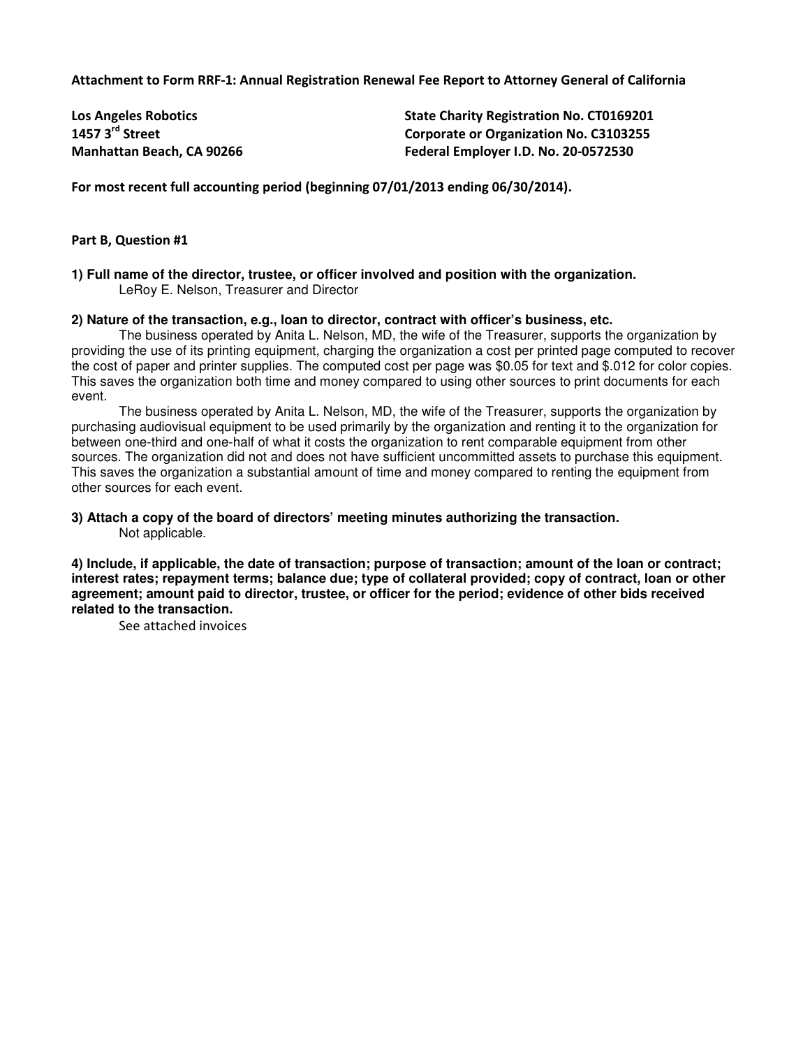Attachment to Form RRF-1: Annual Registration Renewal Fee Report to Attorney General of California

| <b>Los Angeles Robotics</b> | <b>State Charity Registration No. CT0169201</b> |
|-----------------------------|-------------------------------------------------|
| 1457 $3^{\text{rd}}$ Street | <b>Corporate or Organization No. C3103255</b>   |
| Manhattan Beach, CA 90266   | Federal Employer I.D. No. 20-0572530            |

For most recent full accounting period (beginning 07/01/2013 ending 06/30/2014).

### Part B, Question #1

**1) Full name of the director, trustee, or officer involved and position with the organization.**  LeRoy E. Nelson, Treasurer and Director

#### **2) Nature of the transaction, e.g., loan to director, contract with officer's business, etc.**

The business operated by Anita L. Nelson, MD, the wife of the Treasurer, supports the organization by providing the use of its printing equipment, charging the organization a cost per printed page computed to recover the cost of paper and printer supplies. The computed cost per page was \$0.05 for text and \$.012 for color copies. This saves the organization both time and money compared to using other sources to print documents for each event.

 The business operated by Anita L. Nelson, MD, the wife of the Treasurer, supports the organization by purchasing audiovisual equipment to be used primarily by the organization and renting it to the organization for between one-third and one-half of what it costs the organization to rent comparable equipment from other sources. The organization did not and does not have sufficient uncommitted assets to purchase this equipment. This saves the organization a substantial amount of time and money compared to renting the equipment from other sources for each event.

#### **3) Attach a copy of the board of directors' meeting minutes authorizing the transaction.**  Not applicable.

**4) Include, if applicable, the date of transaction; purpose of transaction; amount of the loan or contract; interest rates; repayment terms; balance due; type of collateral provided; copy of contract, loan or other agreement; amount paid to director, trustee, or officer for the period; evidence of other bids received related to the transaction.** 

See attached invoices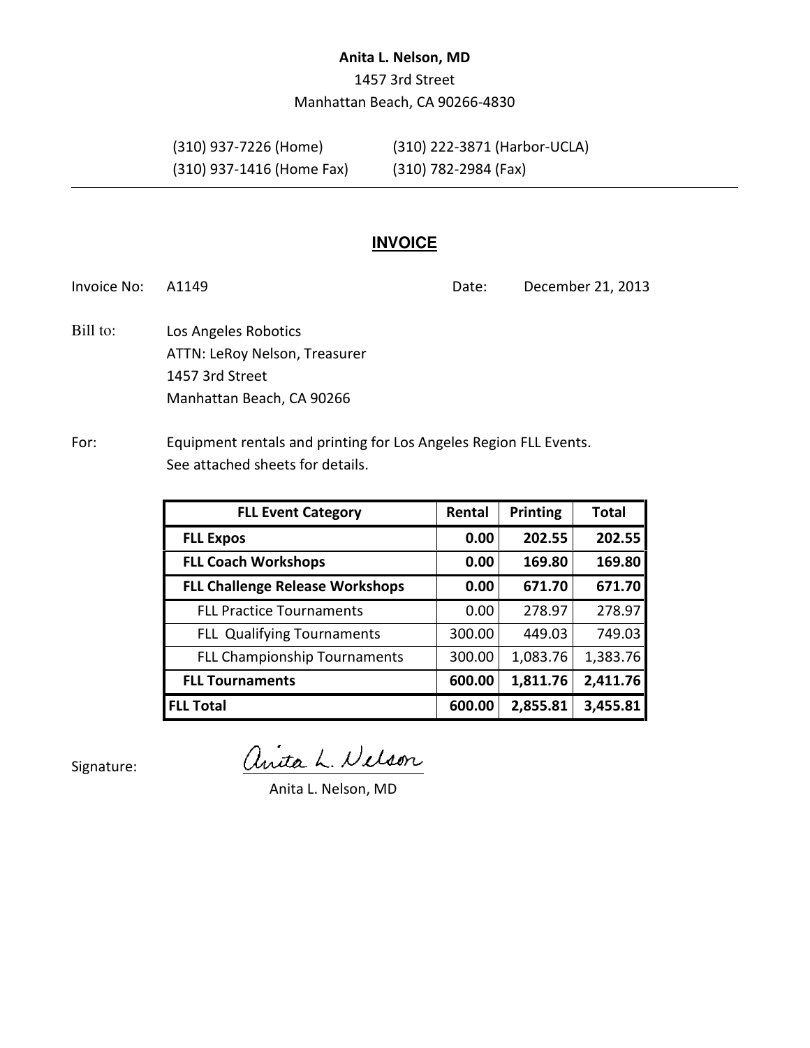## Anita L. Nelson, MD

1457 3rd Street Manhattan Beach, CA 90266-4830

(310) 937-1416 (Home Fax) (310) 782-2984 (Fax)

(310) 937-7226 (Home) (310) 222-3871 (Harbor-UCLA)

# **INVOICE**

Invoice No: A1149 **Date:** December 21, 2013

Los Angeles Robotics ATTN: LeRoy Nelson, Treasurer 1457 3rd Street Manhattan Beach, CA 90266 Bill to:

# For: Equipment rentals and printing for Los Angeles Region FLL Events. See attached sheets for details.

| <b>FLL Event Category</b>              | Rental | <b>Printing</b> | <b>Total</b> |
|----------------------------------------|--------|-----------------|--------------|
| <b>FLL Expos</b>                       | 0.00   | 202.55          | 202.55       |
| <b>FLL Coach Workshops</b>             | 0.00   | 169.80          | 169.80       |
| <b>FLL Challenge Release Workshops</b> | 0.00   | 671.70          | 671.70       |
| <b>FLL Practice Tournaments</b>        | 0.00   | 278.97          | 278.97       |
| <b>FLL Qualifying Tournaments</b>      | 300.00 | 449.03          | 749.03       |
| <b>FLL Championship Tournaments</b>    | 300.00 | 1,083.76        | 1,383.76     |
| <b>FLL Tournaments</b>                 | 600.00 | 1,811.76        | 2,411.76     |
| <b>FLL Total</b>                       | 600.00 | 2,855.81        | 3,455.81     |

Signature:

anita L. Nelson

Anita L. Nelson, MD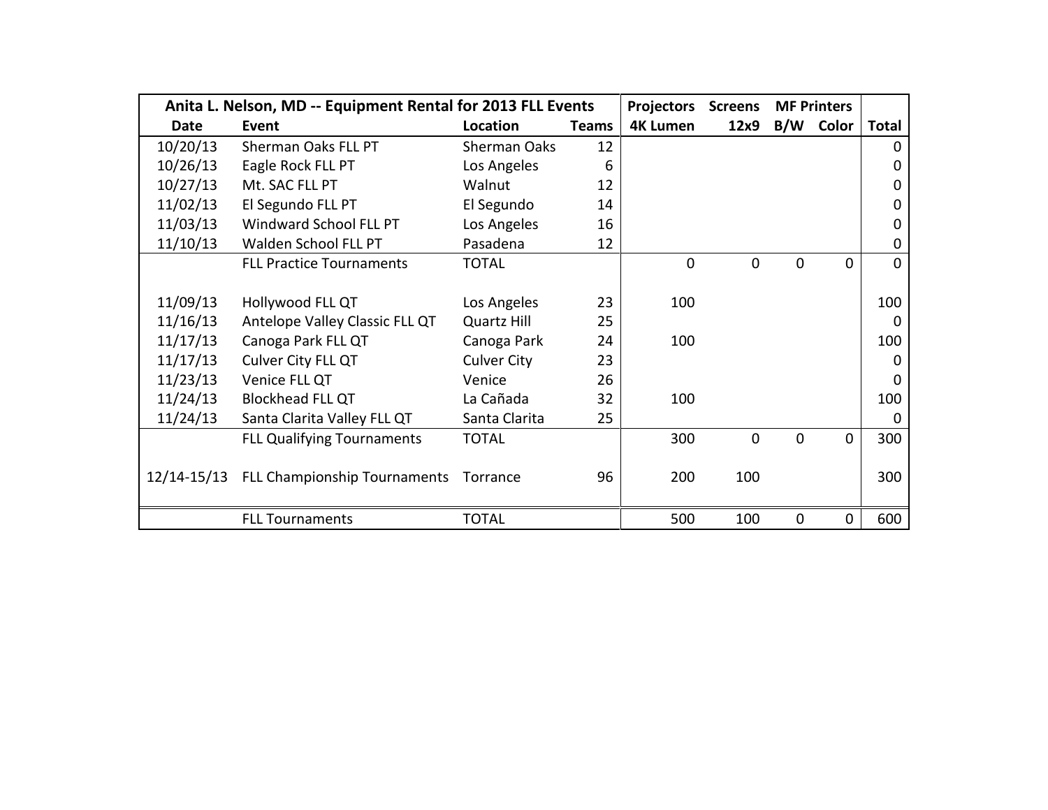|             | Anita L. Nelson, MD -- Equipment Rental for 2013 FLL Events | <b>Projectors</b>  | <b>Screens</b> |                 | <b>MF Printers</b> |          |           |                |
|-------------|-------------------------------------------------------------|--------------------|----------------|-----------------|--------------------|----------|-----------|----------------|
| <b>Date</b> | Event                                                       | Location           | <b>Teams</b>   | <b>4K Lumen</b> | 12x9               |          | B/W Color | <b>Total</b>   |
| 10/20/13    | Sherman Oaks FLL PT                                         | Sherman Oaks       | 12             |                 |                    |          |           | $\Omega$       |
| 10/26/13    | Eagle Rock FLL PT                                           | Los Angeles        | 6              |                 |                    |          |           | 0              |
| 10/27/13    | Mt. SAC FLL PT                                              | Walnut             | 12             |                 |                    |          |           | 0              |
| 11/02/13    | El Segundo FLL PT                                           | El Segundo         | 14             |                 |                    |          |           | 0              |
| 11/03/13    | Windward School FLL PT                                      | Los Angeles        | 16             |                 |                    |          |           | 0              |
| 11/10/13    | Walden School FLL PT                                        | Pasadena           | 12             |                 |                    |          |           | 0              |
|             | <b>FLL Practice Tournaments</b>                             | <b>TOTAL</b>       |                | $\mathbf 0$     | $\overline{0}$     | 0        | $\Omega$  | $\overline{0}$ |
|             |                                                             |                    |                |                 |                    |          |           |                |
| 11/09/13    | Hollywood FLL QT                                            | Los Angeles        | 23             | 100             |                    |          |           | 100            |
| 11/16/13    | Antelope Valley Classic FLL QT                              | <b>Quartz Hill</b> | 25             |                 |                    |          |           | $\Omega$       |
| 11/17/13    | Canoga Park FLL QT                                          | Canoga Park        | 24             | 100             |                    |          |           | 100            |
| 11/17/13    | Culver City FLL QT                                          | <b>Culver City</b> | 23             |                 |                    |          |           | $\Omega$       |
| 11/23/13    | Venice FLL QT                                               | Venice             | 26             |                 |                    |          |           | $\Omega$       |
| 11/24/13    | <b>Blockhead FLL QT</b>                                     | La Cañada          | 32             | 100             |                    |          |           | 100            |
| 11/24/13    | Santa Clarita Valley FLL QT                                 | Santa Clarita      | 25             |                 |                    |          |           | 0              |
|             | <b>FLL Qualifying Tournaments</b>                           | <b>TOTAL</b>       |                | 300             | $\overline{0}$     | $\Omega$ | $\Omega$  | 300            |
|             |                                                             |                    |                |                 |                    |          |           |                |
|             | 12/14-15/13 FLL Championship Tournaments                    | Torrance           | 96             | 200             | 100                |          |           | 300            |
|             |                                                             |                    |                |                 |                    |          |           |                |
|             | <b>FLL Tournaments</b>                                      | <b>TOTAL</b>       |                | 500             | 100                | 0        | $\Omega$  | 600            |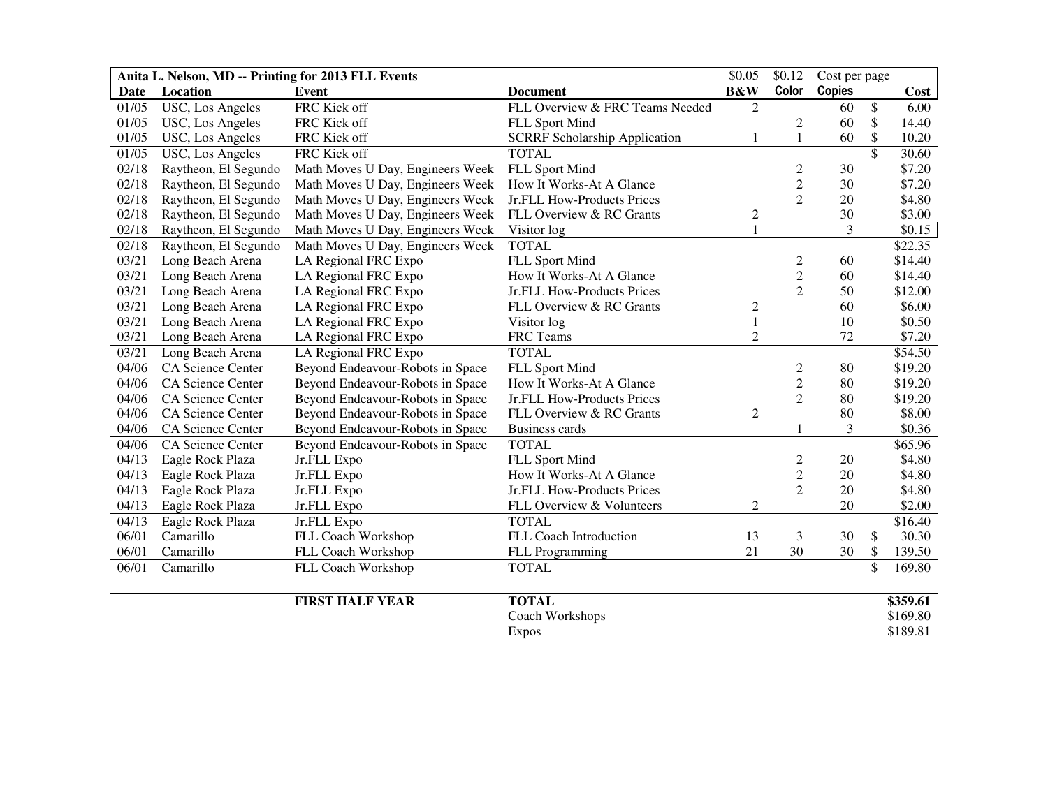| Anita L. Nelson, MD -- Printing for 2013 FLL Events |                          |                                  | \$0.05                               | \$0.12         | Cost per page  |               |                 |          |
|-----------------------------------------------------|--------------------------|----------------------------------|--------------------------------------|----------------|----------------|---------------|-----------------|----------|
| Date                                                | Location                 | Event                            | <b>Document</b>                      | <b>B&amp;W</b> | Color          | <b>Copies</b> |                 | Cost     |
| 01/05                                               | USC, Los Angeles         | FRC Kick off                     | FLL Overview & FRC Teams Needed      | 2              |                | 60            | \$              | 6.00     |
| 01/05                                               | USC, Los Angeles         | FRC Kick off                     | FLL Sport Mind                       |                | 2              | 60            | \$              | 14.40    |
| 01/05                                               | USC, Los Angeles         | FRC Kick off                     | <b>SCRRF Scholarship Application</b> | 1              | 1              | 60            | \$              | 10.20    |
| 01/05                                               | USC, Los Angeles         | FRC Kick off                     | <b>TOTAL</b>                         |                |                |               | \$              | 30.60    |
| 02/18                                               | Raytheon, El Segundo     | Math Moves U Day, Engineers Week | FLL Sport Mind                       |                | 2              | 30            |                 | \$7.20   |
| 02/18                                               | Raytheon, El Segundo     | Math Moves U Day, Engineers Week | How It Works-At A Glance             |                | $\overline{c}$ | 30            |                 | \$7.20   |
| 02/18                                               | Raytheon, El Segundo     | Math Moves U Day, Engineers Week | Jr.FLL How-Products Prices           |                | $\overline{2}$ | 20            |                 | \$4.80   |
| 02/18                                               | Raytheon, El Segundo     | Math Moves U Day, Engineers Week | FLL Overview & RC Grants             | $\overline{c}$ |                | 30            |                 | \$3.00   |
| 02/18                                               | Raytheon, El Segundo     | Math Moves U Day, Engineers Week | Visitor log                          | 1              |                | 3             |                 | \$0.15   |
| 02/18                                               | Raytheon, El Segundo     | Math Moves U Day, Engineers Week | <b>TOTAL</b>                         |                |                |               |                 | \$22.35  |
| 03/21                                               | Long Beach Arena         | LA Regional FRC Expo             | FLL Sport Mind                       |                | 2              | 60            |                 | \$14.40  |
| 03/21                                               | Long Beach Arena         | LA Regional FRC Expo             | How It Works-At A Glance             |                | $\overline{c}$ | 60            |                 | \$14.40  |
| 03/21                                               | Long Beach Arena         | LA Regional FRC Expo             | Jr.FLL How-Products Prices           |                | $\overline{2}$ | 50            |                 | \$12.00  |
| 03/21                                               | Long Beach Arena         | LA Regional FRC Expo             | FLL Overview & RC Grants             | $\overline{c}$ |                | 60            |                 | \$6.00   |
| 03/21                                               | Long Beach Arena         | LA Regional FRC Expo             | Visitor log                          | $\mathbf 1$    |                | 10            |                 | \$0.50   |
| 03/21                                               | Long Beach Arena         | LA Regional FRC Expo             | FRC Teams                            | $\overline{c}$ |                | 72            |                 | \$7.20   |
| 03/21                                               | Long Beach Arena         | LA Regional FRC Expo             | <b>TOTAL</b>                         |                |                |               |                 | \$54.50  |
| 04/06                                               | <b>CA Science Center</b> | Beyond Endeavour-Robots in Space | FLL Sport Mind                       |                | 2              | 80            |                 | \$19.20  |
| 04/06                                               | CA Science Center        | Beyond Endeavour-Robots in Space | How It Works-At A Glance             |                | $\overline{c}$ | 80            |                 | \$19.20  |
| 04/06                                               | CA Science Center        | Beyond Endeavour-Robots in Space | Jr.FLL How-Products Prices           |                | 2              | 80            |                 | \$19.20  |
| 04/06                                               | CA Science Center        | Beyond Endeavour-Robots in Space | FLL Overview & RC Grants             | $\mathbf{2}$   |                | 80            |                 | \$8.00   |
| 04/06                                               | CA Science Center        | Beyond Endeavour-Robots in Space | <b>Business cards</b>                |                | 1              | 3             |                 | \$0.36   |
| 04/06                                               | <b>CA Science Center</b> | Beyond Endeavour-Robots in Space | <b>TOTAL</b>                         |                |                |               |                 | \$65.96  |
| 04/13                                               | Eagle Rock Plaza         | Jr.FLL Expo                      | FLL Sport Mind                       |                | $\overline{c}$ | 20            |                 | \$4.80   |
| 04/13                                               | Eagle Rock Plaza         | Jr.FLL Expo                      | How It Works-At A Glance             |                | $\overline{c}$ | 20            |                 | \$4.80   |
| 04/13                                               | Eagle Rock Plaza         | Jr.FLL Expo                      | Jr.FLL How-Products Prices           |                | $\overline{2}$ | 20            |                 | \$4.80   |
| 04/13                                               | Eagle Rock Plaza         | Jr.FLL Expo                      | FLL Overview & Volunteers            | $\overline{c}$ |                | 20            |                 | \$2.00   |
| 04/13                                               | Eagle Rock Plaza         | Jr.FLL Expo                      | <b>TOTAL</b>                         |                |                |               |                 | \$16.40  |
| 06/01                                               | Camarillo                | FLL Coach Workshop               | FLL Coach Introduction               | 13             | 3              | 30            | \$              | 30.30    |
| 06/01                                               | Camarillo                | FLL Coach Workshop               | FLL Programming                      | 21             | 30             | 30            | \$              | 139.50   |
| 06/01                                               | Camarillo                | FLL Coach Workshop               | <b>TOTAL</b>                         |                |                |               | $\overline{\$}$ | 169.80   |
|                                                     |                          | <b>FIRST HALF YEAR</b>           | <b>TOTAL</b>                         |                |                |               |                 | \$359.61 |
|                                                     |                          |                                  | Coach Workshops                      |                |                |               |                 | \$169.80 |
|                                                     |                          |                                  | <b>Expos</b>                         |                |                |               |                 | \$189.81 |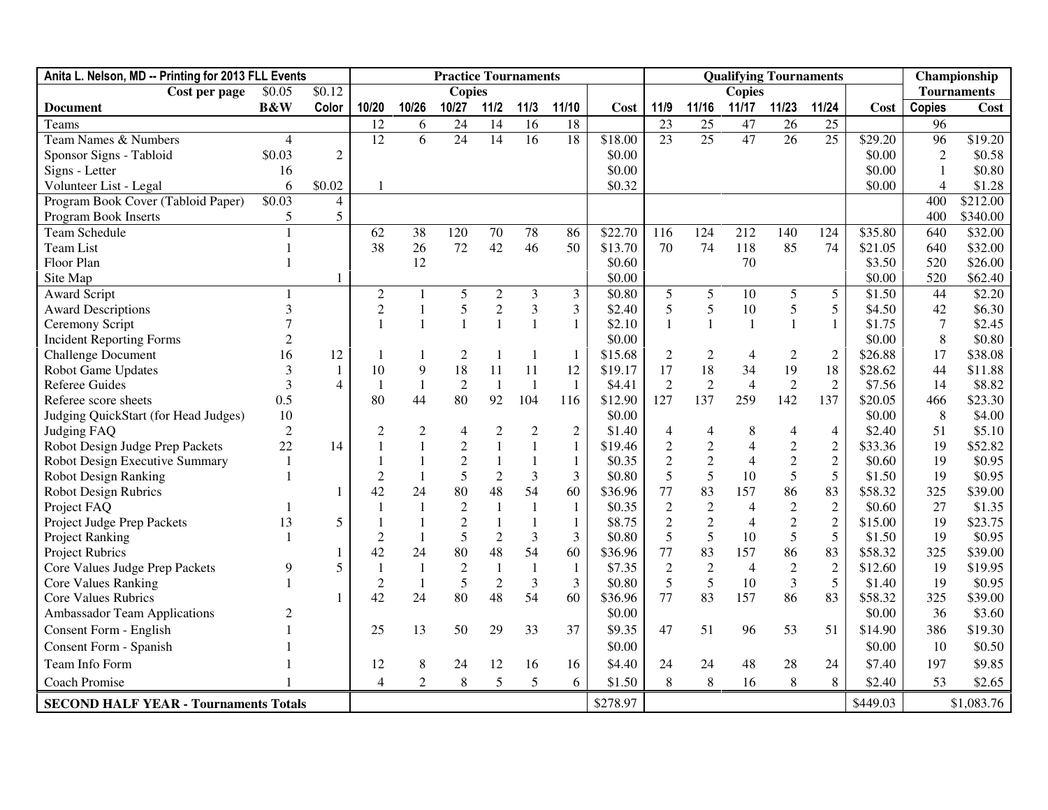| Anita L. Nelson, MD -- Printing for 2013 FLL Events |                |                |                  | <b>Practice Tournaments</b> |                 |                  |                | <b>Qualifying Tournaments</b> |          |                |                  |                |                 | Championship       |          |                |            |
|-----------------------------------------------------|----------------|----------------|------------------|-----------------------------|-----------------|------------------|----------------|-------------------------------|----------|----------------|------------------|----------------|-----------------|--------------------|----------|----------------|------------|
| Cost per page                                       | \$0.05         | \$0.12         |                  |                             | <b>Copies</b>   |                  |                |                               |          |                | <b>Copies</b>    |                |                 | <b>Tournaments</b> |          |                |            |
| <b>Document</b>                                     | <b>B&amp;W</b> | Color          | 10/20            | 10/26                       | 10/27           | $11/2$           | $11/3$         | 11/10                         | Cost     | 11/9           | 11/16            | 11/17          | 11/23           | 11/24              | Cost     | <b>Copies</b>  | Cost       |
| Teams                                               |                |                | 12               | 6                           | 24              | 14               | 16             | 18                            |          | 23             | 25               | 47             | 26              | $\overline{25}$    |          | 96             |            |
| Team Names & Numbers                                | $\overline{4}$ |                | 12               | 6                           | $\overline{24}$ | 14               | 16             | 18                            | \$18.00  | 23             | $\overline{25}$  | 47             | $\overline{26}$ | $\overline{25}$    | \$29.20  | 96             | \$19.20    |
| Sponsor Signs - Tabloid                             | \$0.03         | $\overline{2}$ |                  |                             |                 |                  |                |                               | \$0.00   |                |                  |                |                 |                    | \$0.00   | $\overline{2}$ | \$0.58     |
| Signs - Letter                                      | 16             |                |                  |                             |                 |                  |                |                               | \$0.00   |                |                  |                |                 |                    | \$0.00   |                | \$0.80     |
| Volunteer List - Legal                              | 6              | \$0.02         |                  |                             |                 |                  |                |                               | \$0.32   |                |                  |                |                 |                    | \$0.00   | 4              | \$1.28     |
| Program Book Cover (Tabloid Paper)                  | \$0.03         | $\overline{4}$ |                  |                             |                 |                  |                |                               |          |                |                  |                |                 |                    |          | 400            | \$212.00   |
| Program Book Inserts                                | 5              | 5              |                  |                             |                 |                  |                |                               |          |                |                  |                |                 |                    |          | 400            | \$340.00   |
| <b>Team Schedule</b>                                |                |                | 62               | 38                          | 120             | 70               | 78             | 86                            | \$22.70  | 116            | 124              | 212            | 140             | 124                | \$35.80  | 640            | \$32.00    |
| Team List                                           |                |                | 38               | 26                          | 72              | 42               | 46             | 50                            | \$13.70  | 70             | 74               | 118            | 85              | 74                 | \$21.05  | 640            | \$32.00    |
| Floor Plan                                          |                |                |                  | 12                          |                 |                  |                |                               | \$0.60   |                |                  | 70             |                 |                    | \$3.50   | 520            | \$26.00    |
| Site Map                                            |                |                |                  |                             |                 |                  |                |                               | \$0.00   |                |                  |                |                 |                    | \$0.00   | 520            | \$62.40    |
| <b>Award Script</b>                                 | 1              |                | $\mathbf{2}$     | 1                           | 5               | $\boldsymbol{2}$ | 3              | 3                             | \$0.80   | 5              | 5                | 10             | 5               | 5                  | \$1.50   | 44             | \$2.20     |
| <b>Award Descriptions</b>                           | 3              |                | $\boldsymbol{2}$ | 1                           | $\mathfrak{S}$  | $\overline{2}$   | $\mathfrak{Z}$ | 3                             | \$2.40   | 5              | $\sqrt{5}$       | 10             | 5               | 5                  | \$4.50   | 42             | \$6.30     |
| Ceremony Script                                     |                |                |                  | $\mathbf{1}$                | $\mathbf{1}$    |                  | $\mathbf{1}$   | $\mathbf{1}$                  | \$2.10   | $\mathbf{1}$   | $\overline{1}$   | $\mathbf{1}$   | $\mathbf{1}$    | $\mathbf{1}$       | \$1.75   | $\tau$         | \$2.45     |
| <b>Incident Reporting Forms</b>                     |                |                |                  |                             |                 |                  |                |                               | \$0.00   |                |                  |                |                 |                    | \$0.00   | 8              | \$0.80     |
| <b>Challenge Document</b>                           | 16             | 12             |                  | 1                           | $\overline{c}$  |                  | $\mathbf{1}$   | 1                             | \$15.68  | $\mathfrak{2}$ | $\overline{c}$   | $\overline{4}$ | $\overline{c}$  | $\overline{2}$     | \$26.88  | 17             | \$38.08    |
| <b>Robot Game Updates</b>                           | 3              | $\mathbf{1}$   | 10               | 9                           | 18              | 11               | 11             | 12                            | \$19.17  | 17             | 18               | 34             | 19              | 18                 | \$28.62  | 44             | \$11.88    |
| <b>Referee Guides</b>                               | 3              | $\Delta$       | $\mathbf{1}$     | $\mathbf{1}$                | $\overline{2}$  | $\mathbf{1}$     | $\mathbf{1}$   | $\mathbf{1}$                  | \$4.41   | $\overline{2}$ | $\overline{2}$   | $\overline{4}$ | $\overline{2}$  | $\overline{2}$     | \$7.56   | 14             | \$8.82     |
| Referee score sheets                                | 0.5            |                | 80               | 44                          | 80              | 92               | 104            | 116                           | \$12.90  | 127            | 137              | 259            | 142             | 137                | \$20.05  | 466            | \$23.30    |
| Judging QuickStart (for Head Judges)                | 10             |                |                  |                             |                 |                  |                |                               | \$0.00   |                |                  |                |                 |                    | \$0.00   | 8              | \$4.00     |
| Judging FAQ                                         | $\overline{2}$ |                | $\overline{2}$   | $\overline{2}$              | 4               | 2                | $\mathbf{2}$   | $\overline{2}$                | \$1.40   | 4              | 4                | 8              | 4               | $\overline{4}$     | \$2.40   | 51             | \$5.10     |
| Robot Design Judge Prep Packets                     | 22             | 14             |                  |                             | $\overline{2}$  |                  | $\mathbf{1}$   | $\mathbf{1}$                  | \$19.46  | $\overline{2}$ | $\sqrt{2}$       | $\overline{4}$ | $\overline{2}$  | $\overline{2}$     | \$33.36  | 19             | \$52.82    |
| Robot Design Executive Summary                      | -1             |                |                  |                             | $\overline{2}$  |                  |                | $\mathbf{1}$                  | \$0.35   | $\overline{2}$ | $\overline{2}$   | $\overline{4}$ | $\overline{2}$  | $\overline{2}$     | \$0.60   | 19             | \$0.95     |
| <b>Robot Design Ranking</b>                         |                |                | $\overline{2}$   | $\mathbf{1}$                | 5               | $\mathfrak{2}$   | 3              | 3                             | \$0.80   | 5              | 5                | 10             | 5               | 5                  | \$1.50   | 19             | \$0.95     |
| <b>Robot Design Rubrics</b>                         |                |                | 42               | 24                          | 80              | 48               | 54             | 60                            | \$36.96  | 77             | 83               | 157            | 86              | 83                 | \$58.32  | 325            | \$39.00    |
| Project FAQ                                         |                |                |                  | $\mathbf{1}$                | $\overline{c}$  |                  | $\mathbf{1}$   | $\mathbf{1}$                  | \$0.35   | $\sqrt{2}$     | $\boldsymbol{2}$ | $\overline{4}$ | $\overline{2}$  | $\overline{2}$     | \$0.60   | 27             | \$1.35     |
| Project Judge Prep Packets                          | 13             | 5              |                  |                             | $\overline{2}$  |                  |                | $\mathbf{1}$                  | \$8.75   | $\overline{2}$ | $\overline{2}$   | $\overline{4}$ | $\overline{c}$  | $\overline{c}$     | \$15.00  | 19             | \$23.75    |
| <b>Project Ranking</b>                              |                |                | $\overline{2}$   | $\mathbf{1}$                | 5               | $\mathfrak{2}$   | 3              | 3                             | \$0.80   | 5              | 5                | 10             | 5               | 5                  | \$1.50   | 19             | \$0.95     |
| <b>Project Rubrics</b>                              |                |                | 42               | 24                          | 80              | 48               | 54             | 60                            | \$36.96  | 77             | 83               | 157            | 86              | 83                 | \$58.32  | 325            | \$39.00    |
| Core Values Judge Prep Packets                      | 9              | 5              |                  |                             | $\overline{c}$  |                  |                | $\mathbf{1}$                  | \$7.35   | $\sqrt{2}$     | $\sqrt{2}$       | $\overline{4}$ | $\overline{2}$  | $\overline{2}$     | \$12.60  | 19             | \$19.95    |
| <b>Core Values Ranking</b>                          |                |                | $\overline{2}$   | 1                           | 5               | $\mathfrak{2}$   | 3              | 3                             | \$0.80   | 5              | 5                | 10             | 3               | 5                  | \$1.40   | 19             | \$0.95     |
| <b>Core Values Rubrics</b>                          |                |                | 42               | 24                          | 80              | 48               | 54             | 60                            | \$36.96  | 77             | 83               | 157            | 86              | 83                 | \$58.32  | 325            | \$39.00    |
| <b>Ambassador Team Applications</b>                 | $\overline{c}$ |                |                  |                             |                 |                  |                |                               | \$0.00   |                |                  |                |                 |                    | \$0.00   | 36             | \$3.60     |
| Consent Form - English                              |                |                | 25               | 13                          | 50              | 29               | 33             | 37                            | \$9.35   | 47             | 51               | 96             | 53              | 51                 | \$14.90  | 386            | \$19.30    |
| <b>Consent Form - Spanish</b>                       |                |                |                  |                             |                 |                  |                |                               | \$0.00   |                |                  |                |                 |                    | \$0.00   | 10             | \$0.50     |
| Team Info Form                                      |                |                | 12               | 8                           | 24              | 12               | 16             | 16                            | \$4.40   | 24             | 24               | 48             | 28              | 24                 | \$7.40   | 197            | \$9.85     |
| Coach Promise                                       |                |                | 4                | $\overline{c}$              | 8               | 5                | 5              | 6                             | \$1.50   | 8              | 8                | 16             | 8               | 8                  | \$2.40   | 53             | \$2.65     |
| <b>SECOND HALF YEAR - Tournaments Totals</b>        |                |                |                  |                             |                 |                  |                |                               | \$278.97 |                |                  |                |                 |                    | \$449.03 |                | \$1,083.76 |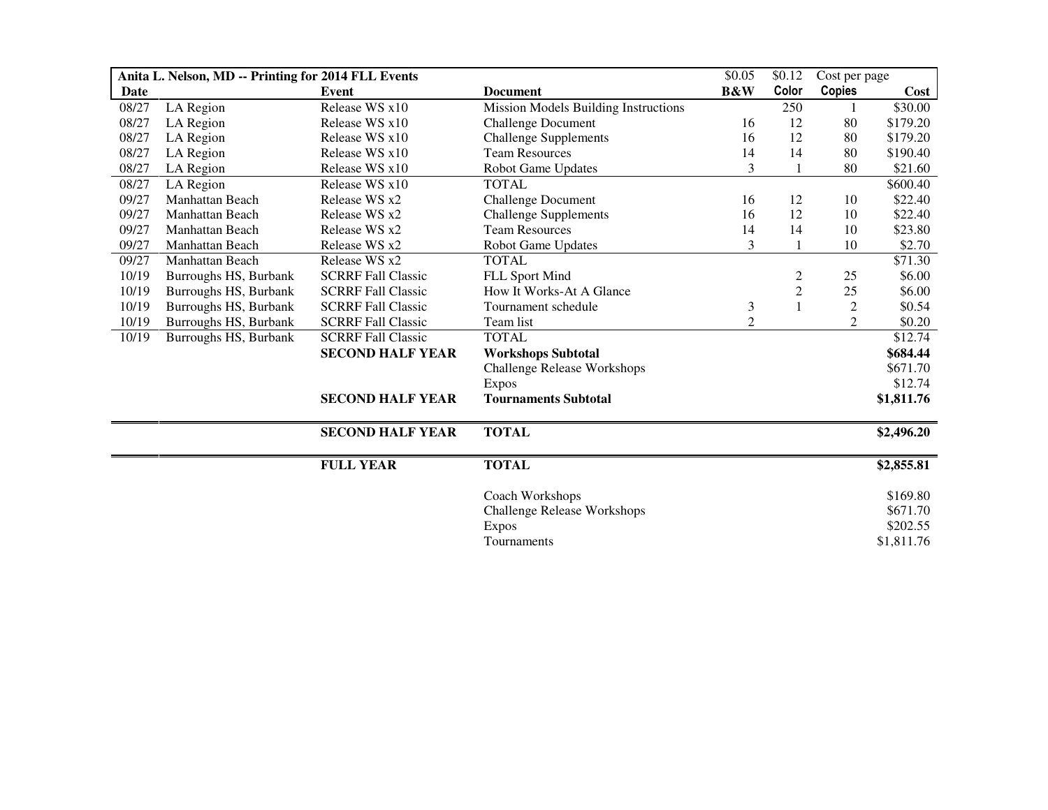| Anita L. Nelson, MD -- Printing for 2014 FLL Events |                       |                           | \$0.05                               | \$0.12           | Cost per page           |                |            |
|-----------------------------------------------------|-----------------------|---------------------------|--------------------------------------|------------------|-------------------------|----------------|------------|
| Date                                                |                       | <b>Event</b>              | <b>Document</b>                      | <b>B&amp;W</b>   | Color                   | Copies         | Cost       |
| 08/27                                               | LA Region             | Release WS x10            | Mission Models Building Instructions |                  | 250                     |                | \$30.00    |
| 08/27                                               | LA Region             | Release WS x10            | <b>Challenge Document</b>            | 16               | 12                      | 80             | \$179.20   |
| 08/27                                               | LA Region             | Release WS x10            | <b>Challenge Supplements</b>         | 16               | 12                      | 80             | \$179.20   |
| 08/27                                               | LA Region             | Release WS x10            | <b>Team Resources</b>                | 14               | 14                      | 80             | \$190.40   |
| 08/27                                               | LA Region             | Release WS x10            | Robot Game Updates                   | 3                |                         | 80             | \$21.60    |
| 08/27                                               | LA Region             | Release WS x10            | <b>TOTAL</b>                         |                  |                         |                | \$600.40   |
| 09/27                                               | Manhattan Beach       | Release WS x2             | <b>Challenge Document</b>            | 16               | 12                      | 10             | \$22.40    |
| 09/27                                               | Manhattan Beach       | Release WS x2             | <b>Challenge Supplements</b>         | 16               | 12                      | 10             | \$22.40    |
| 09/27                                               | Manhattan Beach       | Release WS x2             | <b>Team Resources</b>                | 14               | 14                      | 10             | \$23.80    |
| 09/27                                               | Manhattan Beach       | Release WS x2             | Robot Game Updates                   | 3                |                         | 10             | \$2.70     |
| 09/27                                               | Manhattan Beach       | Release WS x2             | <b>TOTAL</b>                         |                  |                         |                | \$71.30    |
| 10/19                                               | Burroughs HS, Burbank | <b>SCRRF Fall Classic</b> | FLL Sport Mind                       |                  | $\overline{\mathbf{c}}$ | 25             | \$6.00     |
| 10/19                                               | Burroughs HS, Burbank | <b>SCRRF Fall Classic</b> | How It Works-At A Glance             |                  | $\overline{c}$          | 25             | \$6.00     |
| 10/19                                               | Burroughs HS, Burbank | <b>SCRRF Fall Classic</b> | Tournament schedule                  | 3                | $\mathbf{1}$            | $\mathbf{2}$   | \$0.54     |
| 10/19                                               | Burroughs HS, Burbank | <b>SCRRF Fall Classic</b> | Team list                            | $\boldsymbol{2}$ |                         | $\overline{c}$ | \$0.20     |
| 10/19                                               | Burroughs HS, Burbank | <b>SCRRF Fall Classic</b> | <b>TOTAL</b>                         |                  |                         |                | \$12.74    |
|                                                     |                       | <b>SECOND HALF YEAR</b>   | <b>Workshops Subtotal</b>            |                  |                         |                | \$684.44   |
|                                                     |                       |                           | <b>Challenge Release Workshops</b>   |                  |                         |                | \$671.70   |
|                                                     |                       |                           | <b>Expos</b>                         |                  |                         |                | \$12.74    |
|                                                     |                       | <b>SECOND HALF YEAR</b>   | <b>Tournaments Subtotal</b>          |                  |                         |                | \$1,811.76 |
|                                                     |                       | <b>SECOND HALF YEAR</b>   | <b>TOTAL</b>                         |                  |                         |                | \$2,496.20 |
|                                                     |                       | <b>FULL YEAR</b>          | <b>TOTAL</b>                         |                  |                         |                | \$2,855.81 |
|                                                     |                       |                           | Coach Workshops                      |                  |                         |                | \$169.80   |
|                                                     |                       |                           | <b>Challenge Release Workshops</b>   |                  |                         |                | \$671.70   |
|                                                     |                       |                           | <b>Expos</b>                         |                  |                         |                | \$202.55   |
|                                                     |                       |                           | Tournaments                          |                  |                         |                | \$1,811.76 |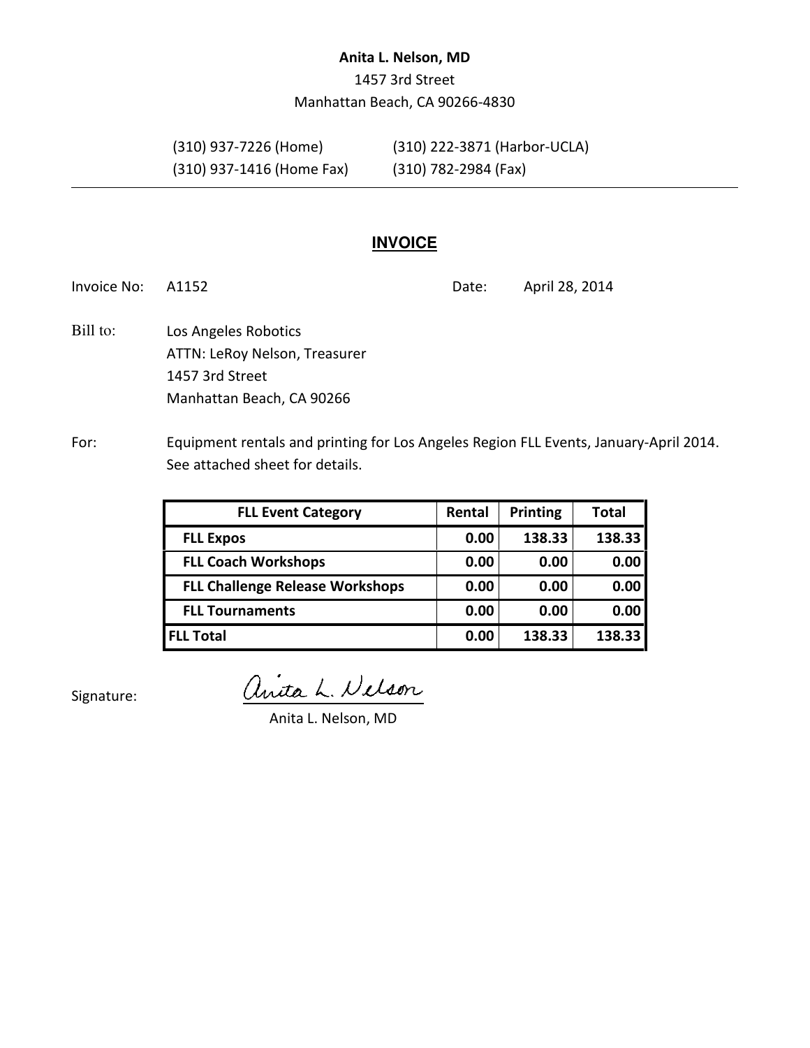## Anita L. Nelson, MD

1457 3rd Street Manhattan Beach, CA 90266-4830

(310) 937-1416 (Home Fax) (310) 782-2984 (Fax)

(310) 937-7226 (Home) (310) 222-3871 (Harbor-UCLA)

# **INVOICE**

Invoice No: A1152 **Date:** April 28, 2014

- Los Angeles Robotics ATTN: LeRoy Nelson, Treasurer 1457 3rd Street Manhattan Beach, CA 90266 Bill to:
- For: Equipment rentals and printing for Los Angeles Region FLL Events, January-April 2014. See attached sheet for details.

| <b>FLL Event Category</b>              | Rental | Printing | <b>Total</b> |
|----------------------------------------|--------|----------|--------------|
| <b>FLL Expos</b>                       | 0.00   | 138.33   | 138.33       |
| <b>FLL Coach Workshops</b>             | 0.00   | 0.00     | 0.00         |
| <b>FLL Challenge Release Workshops</b> | 0.00   | 0.00     | 0.00         |
| <b>FLL Tournaments</b>                 | 0.00   | 0.00     | 0.00         |
| <b>FLL Total</b>                       | 0.00   | 138.33   | 138.33       |

Signature:

anita L. Nelson

Anita L. Nelson, MD